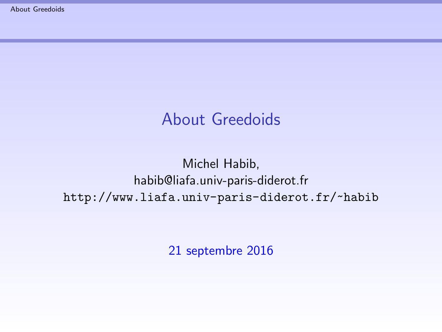## About Greedoids

#### <span id="page-0-0"></span>Michel Habib, habib@liafa.univ-paris-diderot.fr <http://www.liafa.univ-paris-diderot.fr/~habib>

21 septembre 2016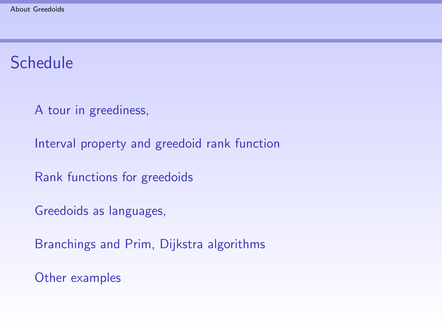# **Schedule**

[A tour in greediness,](#page-3-0)

[Interval property and greedoid rank function](#page-21-0)

[Rank functions for greedoids](#page-23-0)

[Greedoids as languages,](#page-25-0)

[Branchings and Prim, Dijkstra algorithms](#page-36-0)

[Other examples](#page-40-0)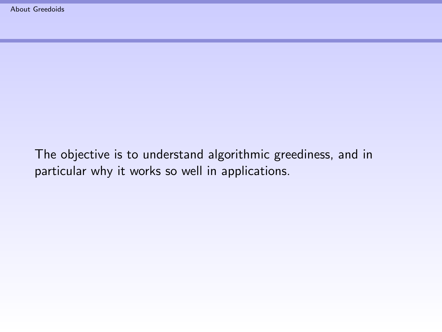The objective is to understand algorithmic greediness, and in particular why it works so well in applications.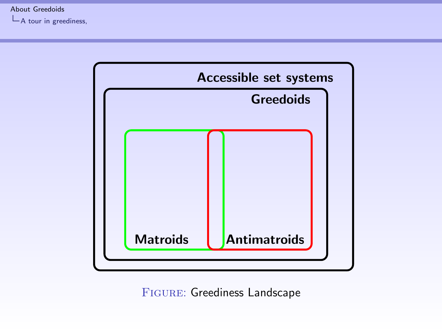<span id="page-3-0"></span> $L$ [A tour in greediness,](#page-3-0)



FIGURE: Greediness Landscape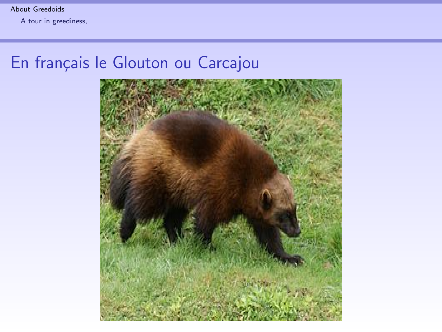<span id="page-4-0"></span>[About Greedoids](#page-0-0)

 $L$ [A tour in greediness,](#page-4-0)

# En français le Glouton ou Carcajou

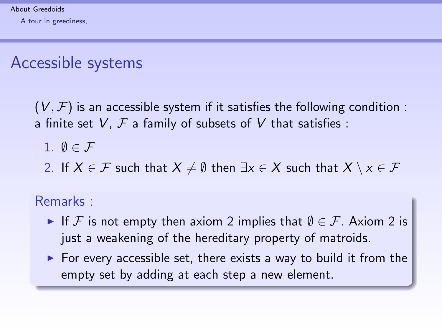# <span id="page-5-0"></span>Accessible systems

 $(V, \mathcal{F})$  is an accessible system if it satisfies the following condition : a finite set  $V$ ,  $\mathcal F$  a family of subsets of  $V$  that satisfies :

$$
1. \varnothing \in \mathcal{F}
$$

2. If  $X \in \mathcal{F}$  such that  $X \neq \emptyset$  then  $\exists x \in X$  such that  $X \setminus x \in \mathcal{F}$ 

Remarks :

- If F is not empty then axiom 2 implies that  $\emptyset \in \mathcal{F}$ . Axiom 2 is just a weakening of the hereditary property of matroids.
- $\triangleright$  For every accessible set, there exists a way to build it from the empty set by adding at each step a new element.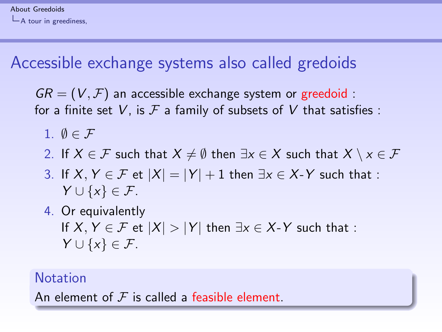# <span id="page-6-0"></span>Accessible exchange systems also called gredoids

 $GR = (V, F)$  an accessible exchange system or greedoid : for a finite set V, is  $\mathcal F$  a family of subsets of V that satisfies :

- 1.  $\emptyset \in \mathcal{F}$
- 2. If  $X \in \mathcal{F}$  such that  $X \neq \emptyset$  then  $\exists x \in X$  such that  $X \setminus x \in \mathcal{F}$
- 3. If  $X, Y \in \mathcal{F}$  et  $|X| = |Y| + 1$  then  $\exists x \in X$ -Y such that :  $Y \cup \{x\} \in \mathcal{F}.$
- 4. Or equivalently If  $X, Y \in \mathcal{F}$  et  $|X| > |Y|$  then  $\exists x \in X$ -Y such that :  $Y \cup \{x\} \in \mathcal{F}.$

#### **Notation**

An element of  $\mathcal F$  is called a feasible element.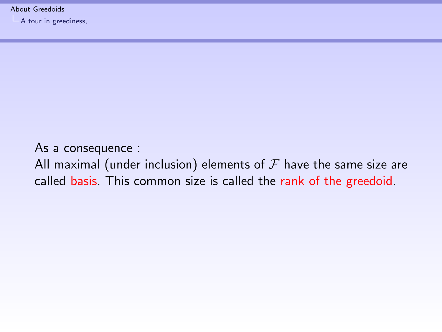<span id="page-7-0"></span>[About Greedoids](#page-0-0)

 $L$ [A tour in greediness,](#page-7-0)

As a consequence : All maximal (under inclusion) elements of  $\mathcal F$  have the same size are called basis. This common size is called the rank of the greedoid.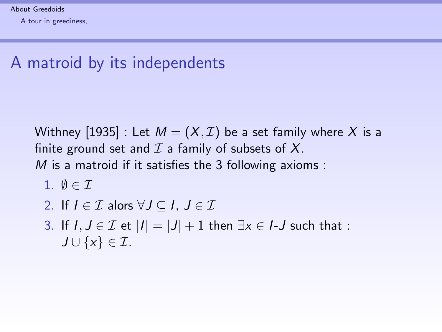# <span id="page-8-0"></span>A matroid by its independents

Withney [1935] : Let  $M = (X, \mathcal{I})$  be a set family where X is a finite ground set and  $\mathcal I$  a family of subsets of  $X$ .  $M$  is a matroid if it satisfies the 3 following axioms :

$$
1. \ \emptyset \in \mathcal{I}
$$

2. If 
$$
I \in \mathcal{I}
$$
 alors  $\forall J \subseteq I$ ,  $J \in \mathcal{I}$ 

3. If 
$$
I, J \in \mathcal{I}
$$
 et  $|I| = |J| + 1$  then  $\exists x \in I-J$  such that :  
 $J \cup \{x\} \in \mathcal{I}$ .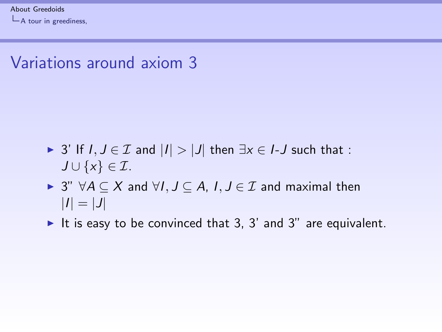<span id="page-9-0"></span> $L$ [A tour in greediness,](#page-9-0)

## Variations around axiom 3

- ► 3' If  $I, J \in \mathcal{I}$  and  $|I| > |J|$  then  $\exists x \in I$ -J such that :  $J \cup \{x\} \in \mathcal{I}.$
- $\triangleright$  3"  $\forall A \subseteq X$  and  $\forall I, J \subseteq A, I, J \in \mathcal{I}$  and maximal then  $|I| = |J|$
- It is easy to be convinced that 3, 3' and 3" are equivalent.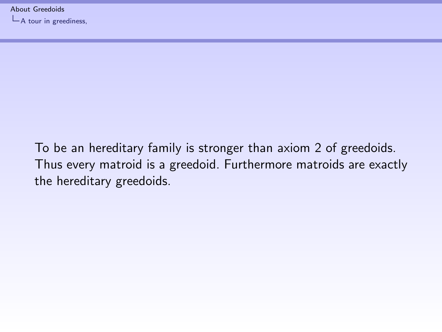<span id="page-10-0"></span>[About Greedoids](#page-0-0)

 $L$ [A tour in greediness,](#page-10-0)

To be an hereditary family is stronger than axiom 2 of greedoids. Thus every matroid is a greedoid. Furthermore matroids are exactly the hereditary greedoids.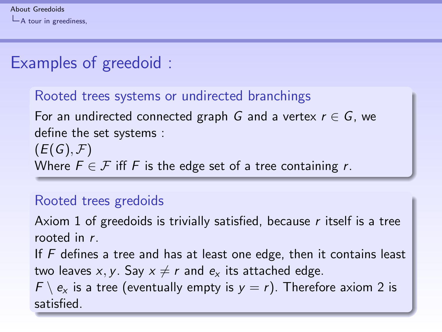# <span id="page-11-0"></span>Examples of greedoid :

### Rooted trees systems or undirected branchings For an undirected connected graph G and a vertex  $r \in G$ , we define the set systems :  $(E(G),\mathcal{F})$ Where  $F \in \mathcal{F}$  iff F is the edge set of a tree containing r.

#### Rooted trees gredoids

Axiom 1 of greedoids is trivially satisfied, because  $r$  itself is a tree rooted in r.

If  $F$  defines a tree and has at least one edge, then it contains least two leaves x, y. Say  $x \neq r$  and  $e_x$  its attached edge.

 $F \setminus e_x$  is a tree (eventually empty is  $y = r$ ). Therefore axiom 2 is satisfied.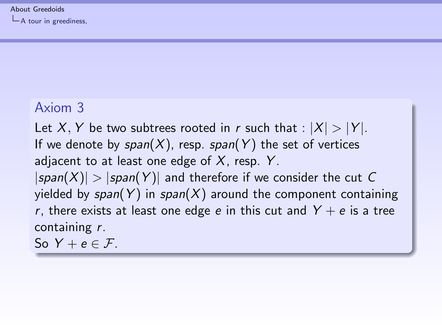#### <span id="page-12-0"></span>Axiom 3

Let X, Y be two subtrees rooted in r such that :  $|X| > |Y|$ . If we denote by  $span(X)$ , resp. span(Y) the set of vertices adjacent to at least one edge of  $X$ , resp. Y.  $|span(X)| > |span(Y)|$  and therefore if we consider the cut C yielded by  $span(Y)$  in  $span(X)$  around the component containing r, there exists at least one edge e in this cut and  $Y + e$  is a tree containing r.

So  $Y + e \in \mathcal{F}$ .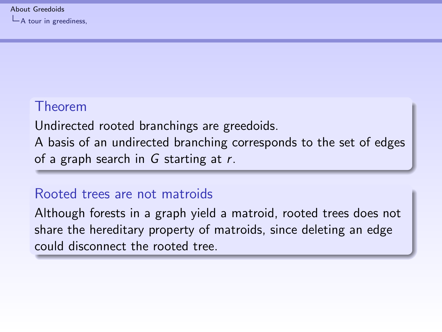#### <span id="page-13-0"></span>Theorem

Undirected rooted branchings are greedoids. A basis of an undirected branching corresponds to the set of edges of a graph search in  $G$  starting at  $r$ .

#### Rooted trees are not matroids

Although forests in a graph yield a matroid, rooted trees does not share the hereditary property of matroids, since deleting an edge could disconnect the rooted tree.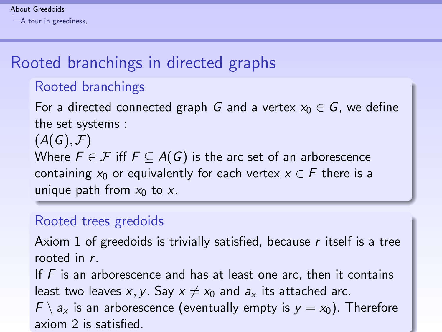# <span id="page-14-0"></span>Rooted branchings in directed graphs

#### Rooted branchings

For a directed connected graph G and a vertex  $x_0 \in G$ , we define the set systems :

 $(A(G),\mathcal{F})$ 

Where  $F \in \mathcal{F}$  iff  $F \subseteq A(G)$  is the arc set of an arborescence containing  $x_0$  or equivalently for each vertex  $x \in F$  there is a unique path from  $x_0$  to x.

#### Rooted trees gredoids

Axiom 1 of greedoids is trivially satisfied, because  $r$  itself is a tree rooted in r.

If  $F$  is an arborescence and has at least one arc, then it contains least two leaves x, y. Say  $x \neq x_0$  and  $a_x$  its attached arc.

 $F \setminus a_x$  is an arborescence (eventually empty is  $y = x_0$ ). Therefore axiom 2 is satisfied.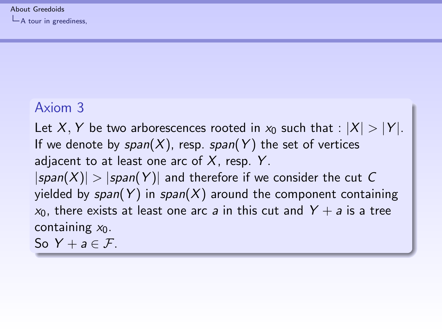#### <span id="page-15-0"></span>Axiom 3

Let X, Y be two arborescences rooted in  $x_0$  such that :  $|X| > |Y|$ . If we denote by  $span(X)$ , resp. span(Y) the set of vertices adjacent to at least one arc of  $X$ , resp.  $Y$ .  $|span(X)| > |span(Y)|$  and therefore if we consider the cut C yielded by  $span(Y)$  in  $span(X)$  around the component containing  $x_0$ , there exists at least one arc a in this cut and  $Y + a$  is a tree containing  $x_0$ .

So  $Y + a \in \mathcal{F}$ .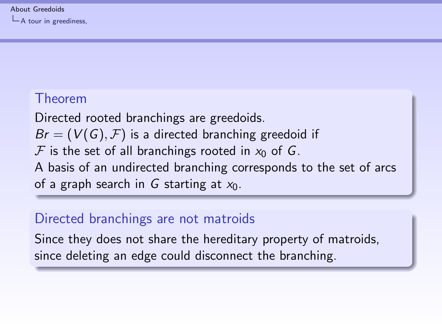#### <span id="page-16-0"></span>Theorem

Directed rooted branchings are greedoids.  $Br = (V(G), F)$  is a directed branching greedoid if  $\mathcal F$  is the set of all branchings rooted in  $x_0$  of G. A basis of an undirected branching corresponds to the set of arcs of a graph search in G starting at  $x_0$ .

#### Directed branchings are not matroids

Since they does not share the hereditary property of matroids, since deleting an edge could disconnect the branching.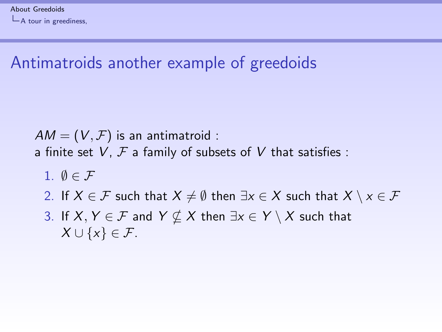# <span id="page-17-0"></span>Antimatroids another example of greedoids

 $AM = (V, F)$  is an antimatroid : a finite set V,  $\mathcal F$  a family of subsets of V that satisfies :

- 1.  $\emptyset \in \mathcal{F}$
- 2. If  $X \in \mathcal{F}$  such that  $X \neq \emptyset$  then  $\exists x \in X$  such that  $X \setminus x \in \mathcal{F}$
- 3. If  $X, Y \in \mathcal{F}$  and  $Y \nsubseteq X$  then  $\exists x \in Y \setminus X$  such that  $X \cup \{x\} \in \mathcal{F}.$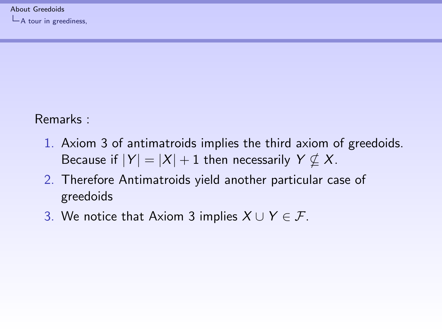<span id="page-18-0"></span> $L$ [A tour in greediness,](#page-18-0)

Remarks :

- 1. Axiom 3 of antimatroids implies the third axiom of greedoids. Because if  $|Y| = |X| + 1$  then necessarily  $Y \nsubseteq X$ .
- 2. Therefore Antimatroids yield another particular case of greedoids
- 3. We notice that Axiom 3 implies  $X \cup Y \in \mathcal{F}$ .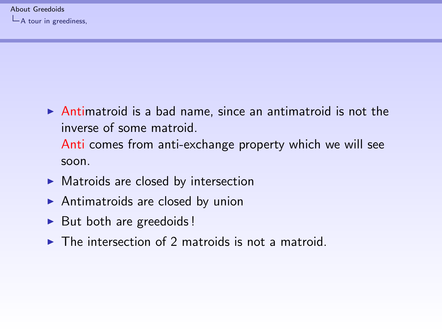- <span id="page-19-0"></span> $\triangleright$  Antimatroid is a bad name, since an antimatroid is not the inverse of some matroid. Anti comes from anti-exchange property which we will see soon.
- $\blacktriangleright$  Matroids are closed by intersection
- $\blacktriangleright$  Antimatroids are closed by union
- $\triangleright$  But both are greedoids !
- $\triangleright$  The intersection of 2 matroids is not a matroid.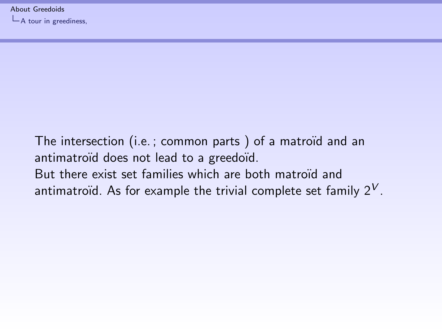<span id="page-20-0"></span> $L$ [A tour in greediness,](#page-20-0)

The intersection (i.e.; common parts) of a matroïd and an antimatroïd does not lead to a greedoïd. But there exist set families which are both matroïd and antimatroïd. As for example the trivial complete set family  $2^V$ .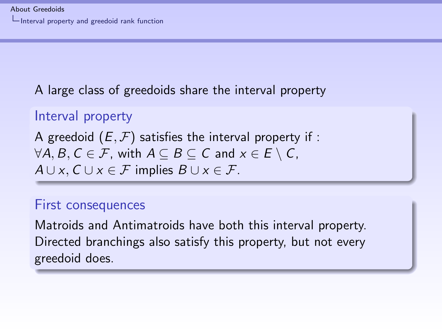<span id="page-21-0"></span>A large class of greedoids share the interval property

```
Interval property
A greedoid (E, \mathcal{F}) satisfies the interval property if :
\forall A, B, C \in \mathcal{F}, with A \subseteq B \subseteq C and x \in E \setminus C,
A \cup x, C \cup x \in \mathcal{F} implies B \cup x \in \mathcal{F}.
```
#### First consequences

Matroids and Antimatroids have both this interval property. Directed branchings also satisfy this property, but not every greedoid does.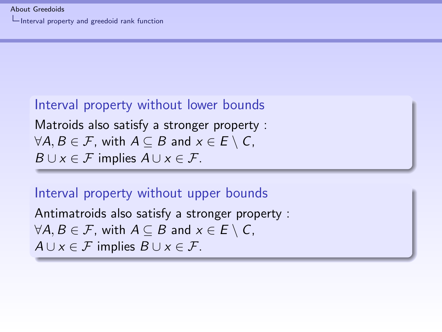<span id="page-22-0"></span>[Interval property and greedoid rank function](#page-22-0)

#### Interval property without lower bounds

Matroids also satisfy a stronger property :  $\forall A, B \in \mathcal{F}$ , with  $A \subseteq B$  and  $x \in E \setminus C$ ,  $B \cup x \in \mathcal{F}$  implies  $A \cup x \in \mathcal{F}$ .

#### Interval property without upper bounds

Antimatroids also satisfy a stronger property :  $\forall A, B \in \mathcal{F}$ , with  $A \subseteq B$  and  $x \in E \setminus C$ ,  $A \cup x \in \mathcal{F}$  implies  $B \cup x \in \mathcal{F}$ .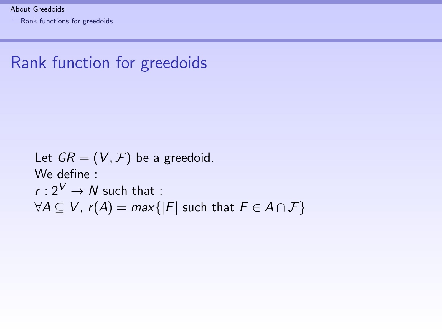<span id="page-23-0"></span>[Rank functions for greedoids](#page-23-0)

## Rank function for greedoids

Let  $GR = (V, \mathcal{F})$  be a greedoid. We define :  $r: 2^V \rightarrow N$  such that :  $\forall A \subseteq V$ ,  $r(A) = max\{|F|$  such that  $F \in A \cap F\}$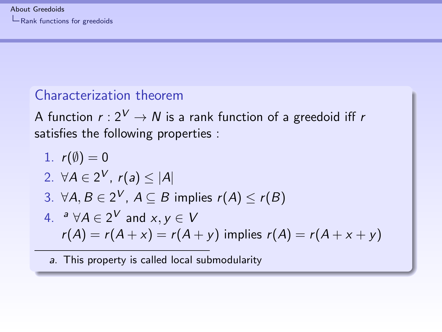<span id="page-24-0"></span>[Rank functions for greedoids](#page-24-0)

#### Characterization theorem

A function  $r: 2^V \to N$  is a rank function of a greedoid iff r satisfies the following properties :

1. 
$$
r(\emptyset) = 0
$$
  
\n2.  $\forall A \in 2^V$ ,  $r(a) \le |A|$   
\n3.  $\forall A, B \in 2^V$ ,  $A \subseteq B$  implies  $r(A) \le r(B)$   
\n4.  $^a \forall A \in 2^V$  and  $x, y \in V$   
\n $r(A) = r(A + x) = r(A + y)$  implies  $r(A) = r(A + x + y)$ 

a. This property is called local submodularity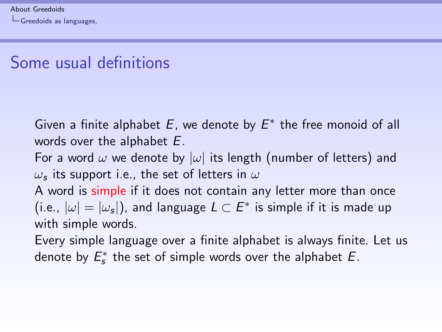# <span id="page-25-0"></span>Some usual definitions

Given a finite alphabet  $E$ , we denote by  $E^*$  the free monoid of all words over the alphabet E.

For a word  $\omega$  we denote by  $|\omega|$  its length (number of letters) and  $\omega_\mathsf{s}$  its support i.e., the set of letters in  $\omega$ 

A word is simple if it does not contain any letter more than once (i.e.,  $|\omega|=|\omega_s|$ ), and language  $L\subset E^*$  is simple if it is made up with simple words.

Every simple language over a finite alphabet is always finite. Let us denote by  $E_s^*$  the set of simple words over the alphabet  $E$ .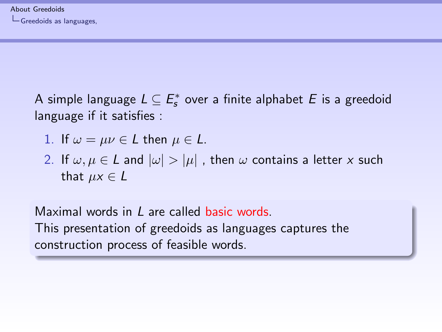<span id="page-26-0"></span>A simple language  $L \subseteq \mathit{E}^\ast_s$  over a finite alphabet  $E$  is a greedoid language if it satisfies :

- 1. If  $\omega = \mu \nu \in L$  then  $\mu \in L$ .
- 2. If  $\omega, \mu \in L$  and  $|\omega| > |\mu|$ , then  $\omega$  contains a letter x such that  $\mu x \in L$

Maximal words in L are called basic words. This presentation of greedoids as languages captures the construction process of feasible words.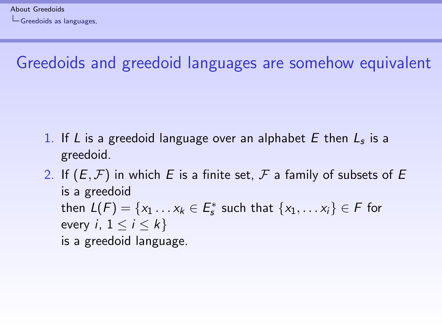# <span id="page-27-0"></span>Greedoids and greedoid languages are somehow equivalent

- 1. If L is a greedoid language over an alphabet  $E$  then  $L<sub>s</sub>$  is a greedoid.
- 2. If  $(E, \mathcal{F})$  in which E is a finite set,  $\mathcal F$  a family of subsets of E is a greedoid then  $L(F) = \{x_1 \dots x_k \in E_s^* \text{ such that } \{x_1, \dots x_i\} \in F \text{ for }$ every *i*,  $1 \leq i \leq k$ is a greedoid language.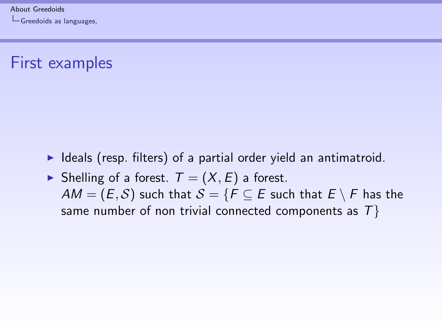## <span id="page-28-0"></span>First examples

- $\blacktriangleright$  Ideals (resp. filters) of a partial order yield an antimatroid.
- $\blacktriangleright$  Shelling of a forest.  $T = (X, E)$  a forest.  $AM = (E, S)$  such that  $S = \{F \subseteq E \text{ such that } E \setminus F \text{ has the }$ same number of non trivial connected components as  $T$ }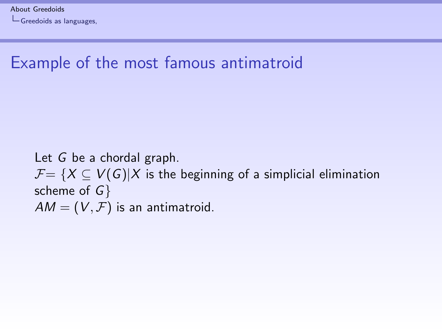# <span id="page-29-0"></span>Example of the most famous antimatroid

Let G be a chordal graph.  $\mathcal{F} = \{X \subseteq V(G)|X \text{ is the beginning of a simplicial elimination}\}$ scheme of  $G$ }  $AM = (V, F)$  is an antimatroid.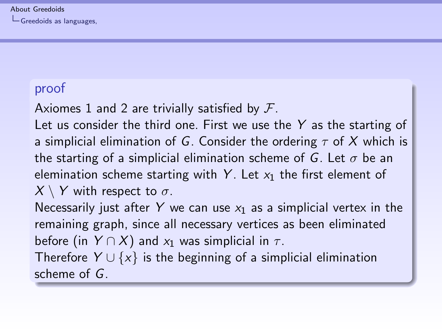#### <span id="page-30-0"></span>[About Greedoids](#page-0-0)

[Greedoids as languages,](#page-30-0)

#### proof

Axiomes 1 and 2 are trivially satisfied by  $\mathcal{F}$ .

Let us consider the third one. First we use the  $Y$  as the starting of a simplicial elimination of G. Consider the ordering  $\tau$  of X which is the starting of a simplicial elimination scheme of G. Let  $\sigma$  be an elemination scheme starting with Y. Let  $x_1$  the first element of  $X \setminus Y$  with respect to  $\sigma$ .

Necessarily just after Y we can use  $x_1$  as a simplicial vertex in the remaining graph, since all necessary vertices as been eliminated before (in  $Y \cap X$ ) and  $x_1$  was simplicial in  $\tau$ .

Therefore  $Y \cup \{x\}$  is the beginning of a simplicial elimination scheme of G.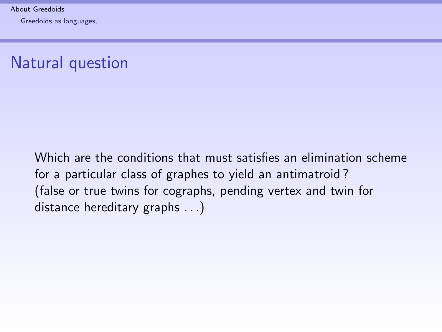# <span id="page-31-0"></span>Natural question

Which are the conditions that must satisfies an elimination scheme for a particular class of graphes to yield an antimatroid ? (false or true twins for cographs, pending vertex and twin for distance hereditary graphs . . .)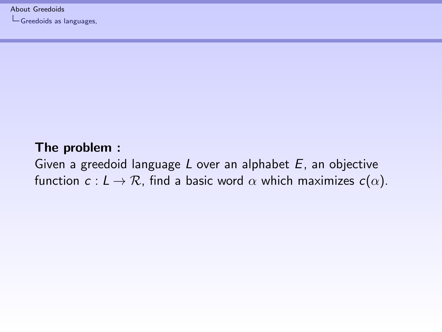<span id="page-32-0"></span>[About Greedoids](#page-0-0)

[Greedoids as languages,](#page-32-0)

#### The problem :

Given a greedoid language  $L$  over an alphabet  $E$ , an objective function  $c: L \to \mathcal{R}$ , find a basic word  $\alpha$  which maximizes  $c(\alpha)$ .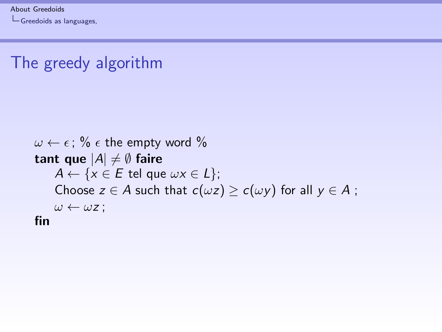# <span id="page-33-0"></span>The greedy algorithm

```
\omega \leftarrow \epsilon; % \epsilon the empty word %
tant que |A| \neq \emptyset faire
     A \leftarrow \{x \in E \text{ tel que } \omega x \in L\};Choose z \in A such that c(\omega z) \geq c(\omega y) for all y \in A;
     \omega \leftarrow \omega z;
fin
```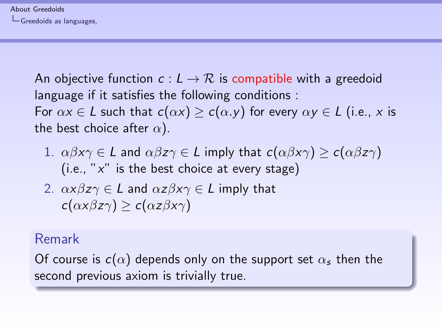#### [About Greedoids](#page-0-0)

<span id="page-34-0"></span>[Greedoids as languages,](#page-34-0)

An objective function  $c: L \to \mathcal{R}$  is compatible with a greedoid language if it satisfies the following conditions : For  $\alpha x \in L$  such that  $c(\alpha x) \geq c(\alpha y)$  for every  $\alpha y \in L$  (i.e., x is

the best choice after  $\alpha$ ).

- 1.  $\alpha\beta x\gamma \in L$  and  $\alpha\beta z\gamma \in L$  imply that  $c(\alpha\beta x\gamma) \geq c(\alpha\beta z\gamma)$ (i.e., " $x$ " is the best choice at every stage)
- 2.  $\alpha x \beta z \gamma \in L$  and  $\alpha z \beta x \gamma \in L$  imply that  $c(\alpha x \beta z \gamma) > c(\alpha z \beta x \gamma)$

#### Remark

Of course is  $c(\alpha)$  depends only on the support set  $\alpha_s$  then the second previous axiom is trivially true.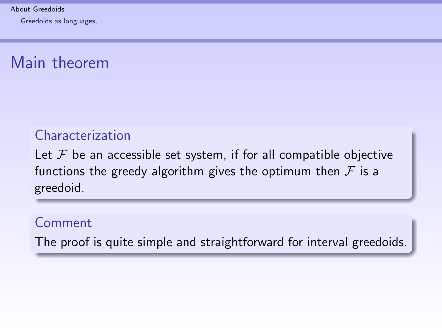# <span id="page-35-0"></span>Main theorem

#### Characterization

Let  $\mathcal F$  be an accessible set system, if for all compatible objective functions the greedy algorithm gives the optimum then  $\mathcal F$  is a greedoid.

#### Comment

The proof is quite simple and straightforward for interval greedoids.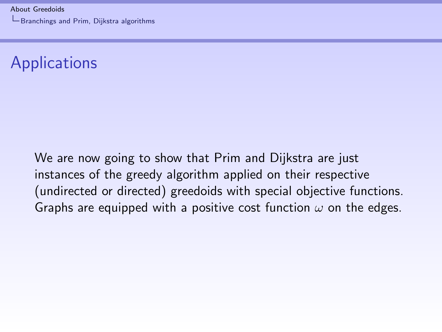<span id="page-36-0"></span>[About Greedoids](#page-0-0) [Branchings and Prim, Dijkstra algorithms](#page-36-0)

# **Applications**

We are now going to show that Prim and Dijkstra are just instances of the greedy algorithm applied on their respective (undirected or directed) greedoids with special objective functions. Graphs are equipped with a positive cost function  $\omega$  on the edges.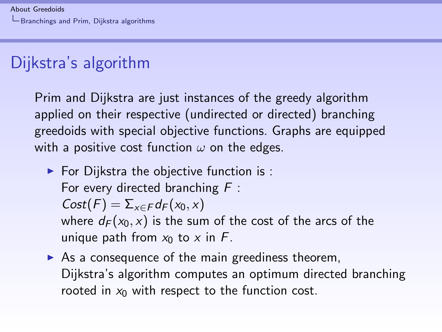# <span id="page-37-0"></span>Dijkstra's algorithm

Prim and Dijkstra are just instances of the greedy algorithm applied on their respective (undirected or directed) branching greedoids with special objective functions. Graphs are equipped with a positive cost function  $\omega$  on the edges.

- $\blacktriangleright$  For Dijkstra the objective function is : For every directed branching  $F$ :  $Cost(F) = \sum_{x \in F} d_F(x_0, x)$ where  $d_F(x_0, x)$  is the sum of the cost of the arcs of the unique path from  $x_0$  to x in F.
- $\triangleright$  As a consequence of the main greediness theorem, Dijkstra's algorithm computes an optimum directed branching rooted in  $x_0$  with respect to the function cost.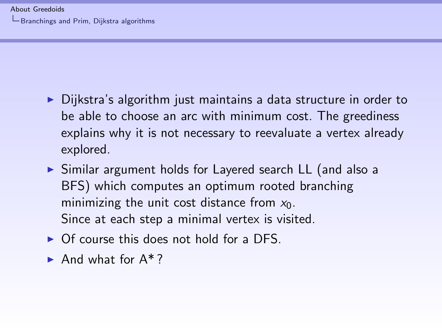- <span id="page-38-0"></span> $\triangleright$  Dijkstra's algorithm just maintains a data structure in order to be able to choose an arc with minimum cost. The greediness explains why it is not necessary to reevaluate a vertex already explored.
- ▶ Similar argument holds for Layered search LL (and also a BFS) which computes an optimum rooted branching minimizing the unit cost distance from  $x_0$ . Since at each step a minimal vertex is visited.
- $\triangleright$  Of course this does not hold for a DFS.
- And what for  $A^*$ ?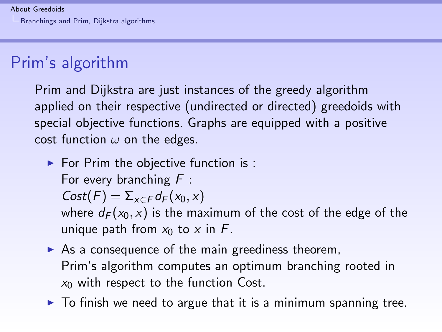# <span id="page-39-0"></span>Prim's algorithm

Prim and Dijkstra are just instances of the greedy algorithm applied on their respective (undirected or directed) greedoids with special objective functions. Graphs are equipped with a positive cost function  $\omega$  on the edges.

- $\blacktriangleright$  For Prim the objective function is : For every branching  $F$ :  $Cost(F) = \sum_{x \in F} d_F(x_0, x)$ where  $d_F(x_0, x)$  is the maximum of the cost of the edge of the unique path from  $x_0$  to x in F.
- $\triangleright$  As a consequence of the main greediness theorem, Prim's algorithm computes an optimum branching rooted in  $x_0$  with respect to the function Cost.
- $\triangleright$  To finish we need to argue that it is a minimum spanning tree.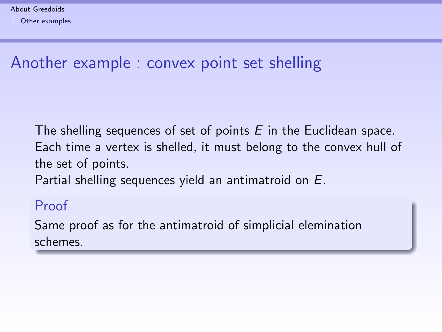# <span id="page-40-0"></span>Another example : convex point set shelling

The shelling sequences of set of points  $E$  in the Euclidean space. Each time a vertex is shelled, it must belong to the convex hull of the set of points.

Partial shelling sequences yield an antimatroid on E.

#### Proof

Same proof as for the antimatroid of simplicial elemination schemes.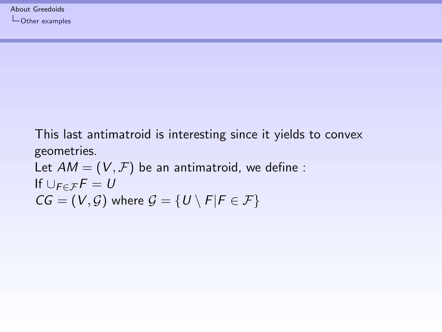<span id="page-41-0"></span>This last antimatroid is interesting since it yields to convex geometries.

Let 
$$
AM = (V, \mathcal{F})
$$
 be an antimatroid, we define :  
If  $\bigcup_{F \in \mathcal{F}} F = U$   
 $CG = (V, \mathcal{G})$  where  $\mathcal{G} = \{U \setminus F | F \in \mathcal{F}\}$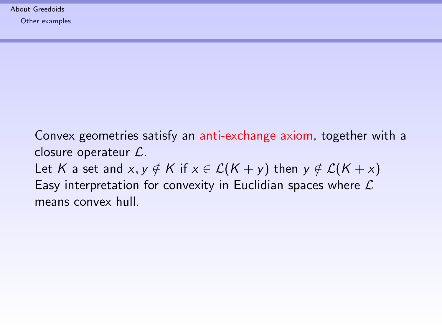<span id="page-42-0"></span>Convex geometries satisfy an anti-exchange axiom, together with a closure operateur L. Let K a set and  $x, y \notin K$  if  $x \in \mathcal{L}(K + y)$  then  $y \notin \mathcal{L}(K + x)$ Easy interpretation for convexity in Euclidian spaces where  $\mathcal L$ means convex hull.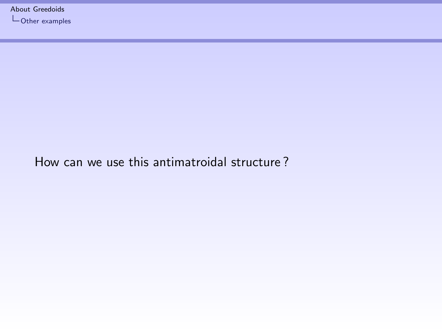<span id="page-43-0"></span>[About Greedoids](#page-0-0)

 $L$ [Other examples](#page-43-0)

#### How can we use this antimatroidal structure ?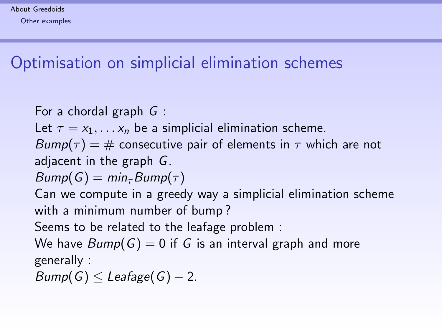# <span id="page-44-0"></span>Optimisation on simplicial elimination schemes

For a chordal graph G : Let  $\tau = x_1, \ldots, x_n$  be a simplicial elimination scheme.  $Bump(\tau) = #$  consecutive pair of elements in  $\tau$  which are not adjacent in the graph G.  $Bump(G) = min_{\tau}Bump(\tau)$ Can we compute in a greedy way a simplicial elimination scheme with a minimum number of bump ? Seems to be related to the leafage problem : We have  $Bump(G) = 0$  if G is an interval graph and more generally :  $Bump(G) \leq Leafage(G) - 2.$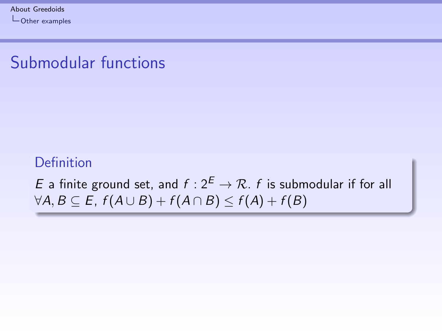# <span id="page-45-0"></span>Submodular functions

#### Definition

E a finite ground set, and  $f: 2^E \rightarrow \mathcal{R}$ . f is submodular if for all  $\forall A, B \subseteq E, f(A \cup B) + f(A \cap B) \leq f(A) + f(B)$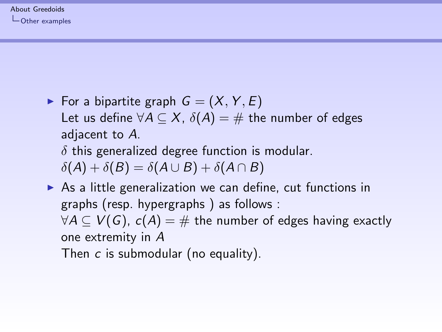#### <span id="page-46-0"></span>[About Greedoids](#page-0-0) [Other examples](#page-46-0)

For a bipartite graph  $G = (X, Y, E)$ Let us define  $\forall A \subseteq X$ ,  $\delta(A) = \#$  the number of edges adjacent to A.

 $\delta$  this generalized degree function is modular.

 $\delta(A) + \delta(B) = \delta(A \cup B) + \delta(A \cap B)$ 

 $\triangleright$  As a little generalization we can define, cut functions in graphs (resp. hypergraphs ) as follows :  $\forall A \subseteq V(G)$ ,  $c(A) = \#$  the number of edges having exactly one extremity in A

Then c is submodular (no equality).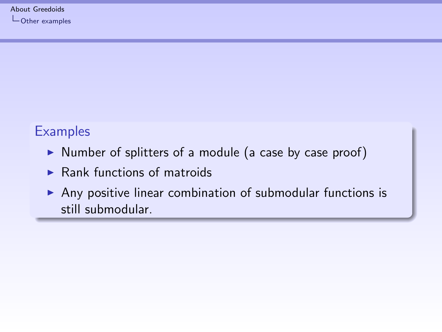### <span id="page-47-0"></span>**Examples**

- $\triangleright$  Number of splitters of a module (a case by case proof)
- $\blacktriangleright$  Rank functions of matroids
- Any positive linear combination of submodular functions is still submodular.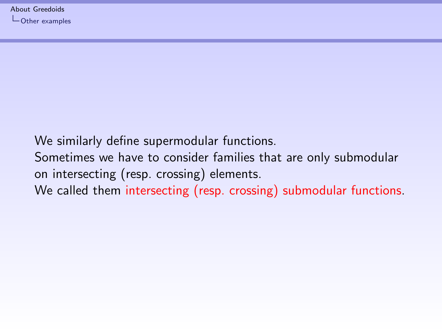<span id="page-48-0"></span>We similarly define supermodular functions. Sometimes we have to consider families that are only submodular on intersecting (resp. crossing) elements. We called them intersecting (resp. crossing) submodular functions.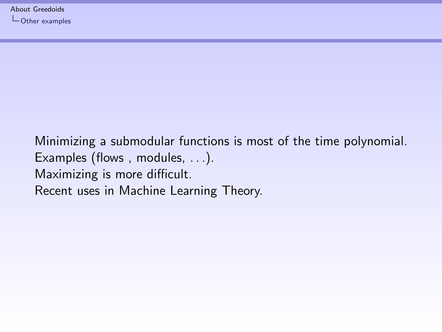<span id="page-49-0"></span>Minimizing a submodular functions is most of the time polynomial. Examples (flows , modules, . . .). Maximizing is more difficult. Recent uses in Machine Learning Theory.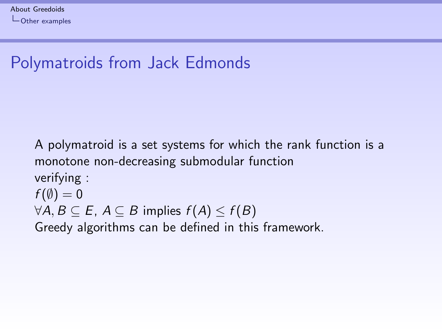# <span id="page-50-0"></span>Polymatroids from Jack Edmonds

A polymatroid is a set systems for which the rank function is a monotone non-decreasing submodular function verifying :  $f(\emptyset) = 0$  $\forall A, B \subseteq E, A \subseteq B$  implies  $f(A) \leq f(B)$ Greedy algorithms can be defined in this framework.